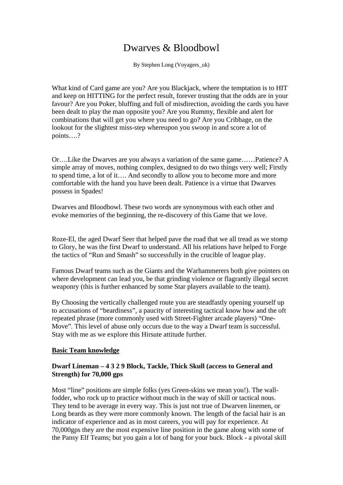# Dwarves & Bloodbowl

By Stephen Long (Voyagers\_uk)

What kind of Card game are you? Are you Blackjack, where the temptation is to HIT and keep on HITTING for the perfect result, forever trusting that the odds are in your favour? Are you Poker, bluffing and full of misdirection, avoiding the cards you have been dealt to play the man opposite you? Are you Rummy, flexible and alert for combinations that will get you where you need to go? Are you Cribbage, on the lookout for the slightest miss-step whereupon you swoop in and score a lot of points….?

Or….Like the Dwarves are you always a variation of the same game……Patience? A simple array of moves, nothing complex, designed to do two things very well; Firstly to spend time, a lot of it…. And secondly to allow you to become more and more comfortable with the hand you have been dealt. Patience is a virtue that Dwarves possess in Spades!

Dwarves and Bloodbowl. These two words are synonymous with each other and evoke memories of the beginning, the re-discovery of this Game that we love.

Roze-El, the aged Dwarf Seer that helped pave the road that we all tread as we stomp to Glory, he was the first Dwarf to understand. All his relations have helped to Forge the tactics of "Run and Smash" so successfully in the crucible of league play.

Famous Dwarf teams such as the Giants and the Warhammerers both give pointers on where development can lead you, be that grinding violence or flagrantly illegal secret weaponry (this is further enhanced by some Star players available to the team).

By Choosing the vertically challenged route you are steadfastly opening yourself up to accusations of "beardiness", a paucity of interesting tactical know how and the oft repeated phrase (more commonly used with Street-Fighter arcade players) "One-Move". This level of abuse only occurs due to the way a Dwarf team is successful. Stay with me as we explore this Hirsute attitude further.

### **Basic Team knowledge**

# **Dwarf Lineman – 4 3 2 9 Block, Tackle, Thick Skull (access to General and Strength) for 70,000 gps**

Most "line" positions are simple folks (yes Green-skins we mean you!). The wallfodder, who rock up to practice without much in the way of skill or tactical nous. They tend to be average in every way. This is just not true of Dwarven linemen, or Long beards as they were more commonly known. The length of the facial hair is an indicator of experience and as in most careers, you will pay for experience. At 70,000gps they are the most expensive line position in the game along with some of the Pansy Elf Teams; but you gain a lot of bang for your buck. Block - a pivotal skill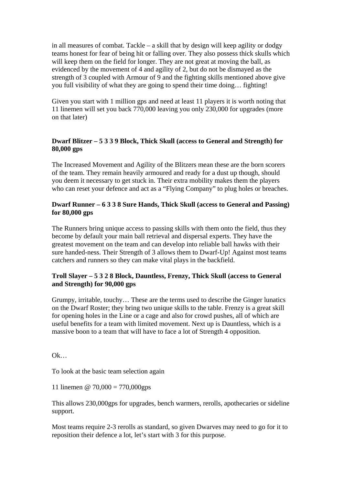in all measures of combat. Tackle – a skill that by design will keep agility or dodgy teams honest for fear of being hit or falling over. They also possess thick skulls which will keep them on the field for longer. They are not great at moving the ball, as evidenced by the movement of 4 and agility of 2, but do not be dismayed as the strength of 3 coupled with Armour of 9 and the fighting skills mentioned above give you full visibility of what they are going to spend their time doing… fighting!

Given you start with 1 million gps and need at least 11 players it is worth noting that 11 linemen will set you back 770,000 leaving you only 230,000 for upgrades (more on that later)

# **Dwarf Blitzer – 5 3 3 9 Block, Thick Skull (access to General and Strength) for 80,000 gps**

The Increased Movement and Agility of the Blitzers mean these are the born scorers of the team. They remain heavily armoured and ready for a dust up though, should you deem it necessary to get stuck in. Their extra mobility makes them the players who can reset your defence and act as a "Flying Company" to plug holes or breaches.

## **Dwarf Runner – 6 3 3 8 Sure Hands, Thick Skull (access to General and Passing) for 80,000 gps**

The Runners bring unique access to passing skills with them onto the field, thus they become by default your main ball retrieval and dispersal experts. They have the greatest movement on the team and can develop into reliable ball hawks with their sure handed-ness. Their Strength of 3 allows them to Dwarf-Up! Against most teams catchers and runners so they can make vital plays in the backfield.

# **Troll Slayer – 5 3 2 8 Block, Dauntless, Frenzy, Thick Skull (access to General and Strength) for 90,000 gps**

Grumpy, irritable, touchy… These are the terms used to describe the Ginger lunatics on the Dwarf Roster; they bring two unique skills to the table. Frenzy is a great skill for opening holes in the Line or a cage and also for crowd pushes, all of which are useful benefits for a team with limited movement. Next up is Dauntless, which is a massive boon to a team that will have to face a lot of Strength 4 opposition.

Ok…

To look at the basic team selection again

11 linemen @ 70,000 = 770,000gps

This allows 230,000gps for upgrades, bench warmers, rerolls, apothecaries or sideline support.

Most teams require 2-3 rerolls as standard, so given Dwarves may need to go for it to reposition their defence a lot, let's start with 3 for this purpose.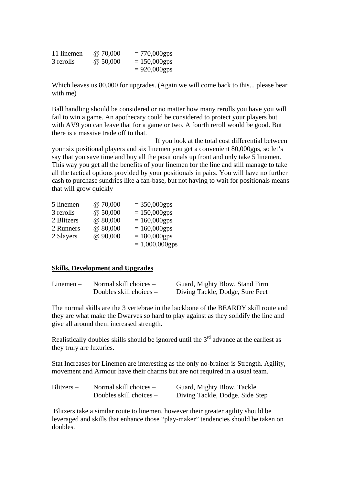| 11 linemen | @ 70,000 | $= 770,000$ gps |
|------------|----------|-----------------|
| 3 rerolls  | @ 50,000 | $= 150,000$ gps |
|            |          | $= 920,000$ gps |

Which leaves us 80,000 for upgrades. (Again we will come back to this... please bear with me)

Ball handling should be considered or no matter how many rerolls you have you will fail to win a game. An apothecary could be considered to protect your players but with AV9 you can leave that for a game or two. A fourth reroll would be good. But there is a massive trade off to that.

 If you look at the total cost differential between your six positional players and six linemen you get a convenient 80,000gps, so let's say that you save time and buy all the positionals up front and only take 5 linemen. This way you get all the benefits of your linemen for the line and still manage to take all the tactical options provided by your positionals in pairs. You will have no further cash to purchase sundries like a fan-base, but not having to wait for positionals means that will grow quickly

| 5 linemen  | @ 70,000 | $= 350,000$ gps   |
|------------|----------|-------------------|
| 3 rerolls  | @50,000  | $= 150,000$ gps   |
| 2 Blitzers | @ 80,000 | $= 160,000$ gps   |
| 2 Runners  | @ 80,000 | $= 160,000$ gps   |
| 2 Slayers  | @ 90,000 | $= 180,000$ gps   |
|            |          | $= 1,000,000$ gps |

#### **Skills, Development and Upgrades**

| $Linear -$ | Normal skill choices $-$  | Guard, Mighty Blow, Stand Firm  |
|------------|---------------------------|---------------------------------|
|            | Doubles skill choices $-$ | Diving Tackle, Dodge, Sure Feet |

The normal skills are the 3 vertebrae in the backbone of the BEARDY skill route and they are what make the Dwarves so hard to play against as they solidify the line and give all around them increased strength.

Realistically doubles skills should be ignored until the  $3<sup>rd</sup>$  advance at the earliest as they truly are luxuries.

Stat Increases for Linemen are interesting as the only no-brainer is Strength. Agility, movement and Armour have their charms but are not required in a usual team.

| $Blitzers -$ | Normal skill choices $-$  | Guard, Mighty Blow, Tackle      |
|--------------|---------------------------|---------------------------------|
|              | Doubles skill choices $-$ | Diving Tackle, Dodge, Side Step |

 Blitzers take a similar route to linemen, however their greater agility should be leveraged and skills that enhance those "play-maker" tendencies should be taken on doubles.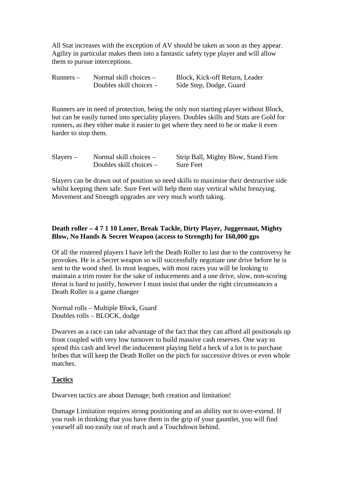All Stat increases with the exception of AV should be taken as soon as they appear. Agility in particular makes them into a fantastic safety type player and will allow them to pursue interceptions.

| $Runners -$ | Normal skill choices $-$  | Block, Kick-off Return, Leader |
|-------------|---------------------------|--------------------------------|
|             | Doubles skill choices $-$ | Side Step, Dodge, Guard        |

Runners are in need of protection, being the only non starting player without Block, but can be easily turned into speciality players. Doubles skills and Stats are Gold for runners, as they either make it easier to get where they need to be or make it even harder to stop them.

| $Slayers -$ | Normal skill choices $-$  | Strip Ball, Mighty Blow, Stand Firm |
|-------------|---------------------------|-------------------------------------|
|             | Doubles skill choices $-$ | <b>Sure Feet</b>                    |

Slayers can be drawn out of position so need skills to maximise their destructive side whilst keeping them safe. Sure Feet will help them stay vertical whilst frenzying. Movement and Strength upgrades are very much worth taking.

# **Death roller – 4 7 1 10 Loner, Break Tackle, Dirty Player, Juggernaut, Mighty Blow, No Hands & Secret Weapon (access to Strength) for 160,000 gps**

Of all the rostered players I have left the Death Roller to last due to the controversy he provokes. He is a Secret weapon so will successfully negotiate one drive before he is sent to the wood shed. In most leagues, with most races you will be looking to maintain a trim roster for the sake of inducements and a one drive, slow, non-scoring threat is hard to justify, however I must insist that under the right circumstances a Death Roller is a game changer

Normal rolls – Multiple Block, Guard Doubles rolls – BLOCK, dodge

Dwarves as a race can take advantage of the fact that they can afford all positionals up front coupled with very low turnover to build massive cash reserves. One way to spend this cash and level the inducement playing field a heck of a lot is to purchase bribes that will keep the Death Roller on the pitch for successive drives or even whole matches.

# **Tactics**

Dwarven tactics are about Damage; both creation and limitation!

Damage Limitation requires strong positioning and an ability not to over-extend. If you rush in thinking that you have them in the grip of your gauntlet, you will find yourself all too easily out of reach and a Touchdown behind.